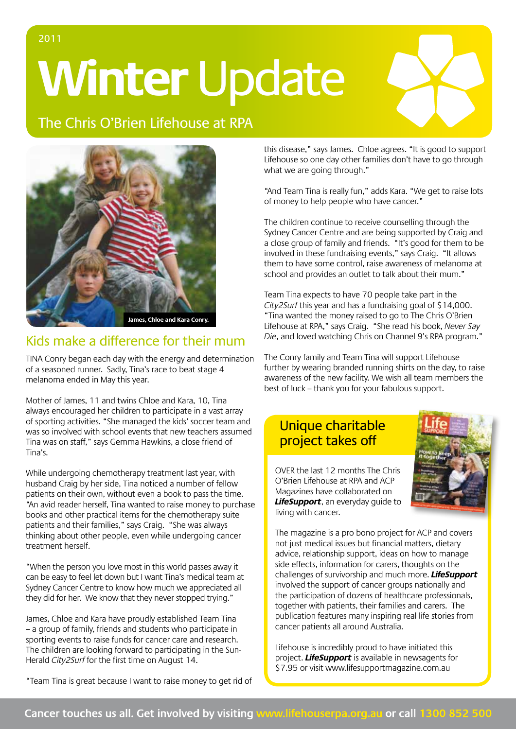**Winter** Update

The Chris O'Brien Lifehouse at RPA



# Kids make a difference for their mum

Tina Conry began each day with the energy and determination of a seasoned runner. Sadly, Tina's race to beat stage 4 melanoma ended in May this year.

Mother of James, 11 and twins Chloe and Kara, 10, Tina always encouraged her children to participate in a vast array of sporting activities. "She managed the kids' soccer team and was so involved with school events that new teachers assumed Tina was on staff," says Gemma Hawkins, a close friend of Tina's.

While undergoing chemotherapy treatment last year, with husband Craig by her side, Tina noticed a number of fellow patients on their own, without even a book to pass the time. "An avid reader herself, Tina wanted to raise money to purchase books and other practical items for the chemotherapy suite patients and their families," says Craig. "She was always thinking about other people, even while undergoing cancer treatment herself.

"When the person you love most in this world passes away it can be easy to feel let down but I want Tina's medical team at Sydney Cancer Centre to know how much we appreciated all they did for her. We know that they never stopped trying."

James, Chloe and Kara have proudly established Team Tina – a group of family, friends and students who participate in sporting events to raise funds for cancer care and research. The children are looking forward to participating in the Sun-Herald City2Surf for the first time on August 14.

"Team Tina is great because I want to raise money to get rid of

this disease," says James. Chloe agrees. "It is good to support Lifehouse so one day other families don't have to go through what we are going through."

"And Team Tina is really fun," adds Kara. "We get to raise lots of money to help people who have cancer."

The children continue to receive counselling through the Sydney Cancer Centre and are being supported by Craig and a close group of family and friends. "It's good for them to be involved in these fundraising events," says Craig. "It allows them to have some control, raise awareness of melanoma at school and provides an outlet to talk about their mum."

Team Tina expects to have 70 people take part in the City2Surf this year and has a fundraising goal of \$14,000. "Tina wanted the money raised to go to The Chris O'Brien Lifehouse at RPA," says Craig. "She read his book, Never Say Die, and loved watching Chris on Channel 9's RPA program."

The Conry family and Team Tina will support Lifehouse further by wearing branded running shirts on the day, to raise awareness of the new facility. We wish all team members the best of luck – thank you for your fabulous support.

## Unique charitable project takes off



OVER the last 12 months The Chris O'Brien Lifehouse at RPA and ACP Magazines have collaborated on **LifeSupport**, an everyday guide to living with cancer.

The magazine is a pro bono project for ACP and covers not just medical issues but financial matters, dietary advice, relationship support, ideas on how to manage side effects, information for carers, thoughts on the challenges of survivorship and much more. **LifeSupport** involved the support of cancer groups nationally and the participation of dozens of healthcare professionals, together with patients, their families and carers. The publication features many inspiring real life stories from cancer patients all around Australia.

Lifehouse is incredibly proud to have initiated this project. **LifeSupport** is available in newsagents for \$7.95 or visit www.lifesupportmagazine.com.au

### 2011

### Cancer touches us all. Get involved by visiting www.lifehouserpa.org.au or call 1300 852 500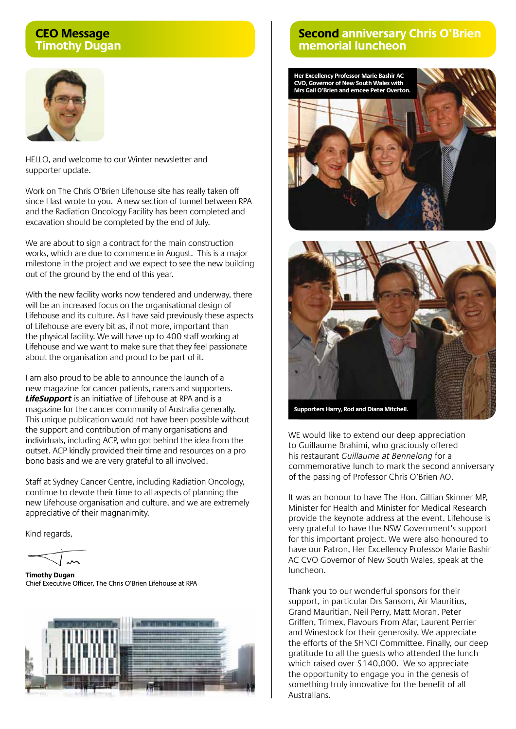#### **CEO Message Timothy Dugan**



Hello, and welcome to our Winter newsletter and supporter update.

Work on The Chris O'Brien Lifehouse site has really taken off since I last wrote to you. A new section of tunnel between RPA and the Radiation Oncology Facility has been completed and excavation should be completed by the end of July.

We are about to sign a contract for the main construction works, which are due to commence in August. This is a major milestone in the project and we expect to see the new building out of the ground by the end of this year.

With the new facility works now tendered and underway, there will be an increased focus on the organisational design of Lifehouse and its culture. As I have said previously these aspects of Lifehouse are every bit as, if not more, important than the physical facility. We will have up to 400 staff working at Lifehouse and we want to make sure that they feel passionate about the organisation and proud to be part of it.

I am also proud to be able to announce the launch of a new magazine for cancer patients, carers and supporters. **LifeSupport** is an initiative of Lifehouse at RPA and is a magazine for the cancer community of Australia generally. This unique publication would not have been possible without the support and contribution of many organisations and individuals, including ACP, who got behind the idea from the outset. ACP kindly provided their time and resources on a pro bono basis and we are very grateful to all involved.

Staff at Sydney Cancer Centre, including Radiation Oncology, continue to devote their time to all aspects of planning the new Lifehouse organisation and culture, and we are extremely appreciative of their magnanimity.

Kind regards,

**Timothy Dugan** Chief Executive Officer, The Chris O'Brien Lifehouse at RPA



#### **Second anniversary Chris O'Brien memorial luncheon**





**Supporters Harry, Rod and Diana Mitchell.**

WE would like to extend our deep appreciation to Guillaume Brahimi, who graciously offered his restaurant Guillaume at Bennelong for a commemorative lunch to mark the second anniversary of the passing of Professor Chris O'Brien AO.

It was an honour to have The Hon. Gillian Skinner MP, Minister for Health and Minister for Medical Research provide the keynote address at the event. Lifehouse is very grateful to have the NSW Government's support for this important project. We were also honoured to have our Patron, Her Excellency Professor Marie Bashir AC CVO Governor of New South Wales, speak at the luncheon.

Thank you to our wonderful sponsors for their support, in particular Drs Sansom, Air Mauritius, Grand Mauritian, Neil Perry, Matt Moran, Peter Griffen, Trimex, Flavours From Afar, Laurent Perrier and Winestock for their generosity. We appreciate the efforts of the SHNCI Committee. Finally, our deep gratitude to all the guests who attended the lunch which raised over \$140,000. We so appreciate the opportunity to engage you in the genesis of something truly innovative for the benefit of all Australians.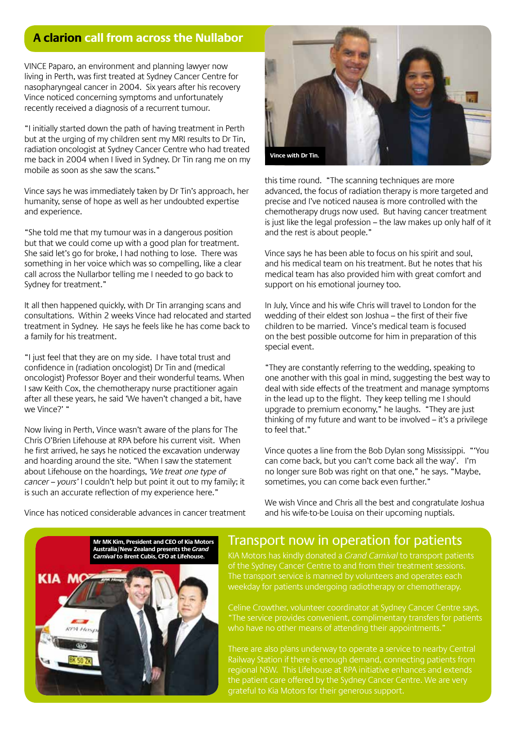### **A clarion call from across the Nullabor**

Vince Paparo, an environment and planning lawyer now living in Perth, was first treated at Sydney Cancer Centre for nasopharyngeal cancer in 2004. Six years after his recovery Vince noticed concerning symptoms and unfortunately recently received a diagnosis of a recurrent tumour.

"I initially started down the path of having treatment in Perth but at the urging of my children sent my MRI results to Dr Tin, radiation oncologist at Sydney Cancer Centre who had treated me back in 2004 when I lived in Sydney. Dr Tin rang me on my mobile as soon as she saw the scans."

Vince says he was immediately taken by Dr Tin's approach, her humanity, sense of hope as well as her undoubted expertise and experience.

"She told me that my tumour was in a dangerous position but that we could come up with a good plan for treatment. She said let's go for broke, I had nothing to lose. There was something in her voice which was so compelling, like a clear call across the Nullarbor telling me I needed to go back to Sydney for treatment."

It all then happened quickly, with Dr Tin arranging scans and consultations. Within 2 weeks Vince had relocated and started treatment in Sydney. He says he feels like he has come back to a family for his treatment.

"I just feel that they are on my side. I have total trust and confidence in (radiation oncologist) Dr Tin and (medical oncologist) Professor Boyer and their wonderful teams. When I saw Keith Cox, the chemotherapy nurse practitioner again after all these years, he said 'We haven't changed a bit, have we Vince?' "

Now living in Perth, Vince wasn't aware of the plans for The Chris O'Brien Lifehouse at RPA before his current visit. When he first arrived, he says he noticed the excavation underway and hoarding around the site. "When I saw the statement about Lifehouse on the hoardings, 'We treat one type of cancer – yours' I couldn't help but point it out to my family; it is such an accurate reflection of my experience here."



this time round. "The scanning techniques are more advanced, the focus of radiation therapy is more targeted and precise and I've noticed nausea is more controlled with the chemotherapy drugs now used. But having cancer treatment is just like the legal profession – the law makes up only half of it and the rest is about people."

Vince says he has been able to focus on his spirit and soul, and his medical team on his treatment. But he notes that his medical team has also provided him with great comfort and support on his emotional journey too.

In July, Vince and his wife Chris will travel to London for the wedding of their eldest son Joshua – the first of their five children to be married. Vince's medical team is focused on the best possible outcome for him in preparation of this special event.

"They are constantly referring to the wedding, speaking to one another with this goal in mind, suggesting the best way to deal with side effects of the treatment and manage symptoms in the lead up to the flight. They keep telling me I should upgrade to premium economy," he laughs. "They are just thinking of my future and want to be involved – it's a privilege to feel that."

Vince quotes a line from the Bob Dylan song Mississippi. "'You can come back, but you can't come back all the way'. I'm no longer sure Bob was right on that one," he says. "Maybe, sometimes, you can come back even further."

We wish Vince and Chris all the best and congratulate Joshua

and his wife-to-be Louisa on their upcoming nuptials.

Vince has noticed considerable advances in cancer treatment

KIA

**Mr MK Kim, President and CEO of Kia Motors Australia/New Zealand presents the Grand Carnival to Brent Cubis, CFO at Lifehouse.**



Kia Motors has kindly donated a Grand Carnival to transport patients of the Sydney Cancer Centre to and from their treatment sessions. The transport service is manned by volunteers and operates each weekday for patients undergoing radiotherapy or chemotherapy.

Celine Crowther, volunteer coordinator at Sydney Cancer Centre says, "The service provides convenient, complimentary transfers for patients who have no other means of attending their appointments.'

Railway Station if there is enough demand, connecting patients from regional NSW. This Lifehouse at RPA initiative enhances and extends grateful to Kia Motors for their generous support.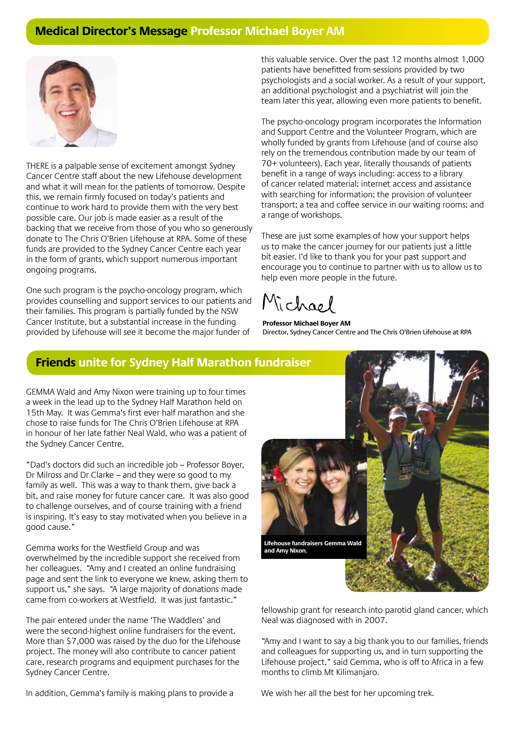### **Medical Director's Message Professor Michael Boyer AM**



THERE is a palpable sense of excitement amongst Sydney Cancer Centre staff about the new Lifehouse development and what it will mean for the patients of tomorrow. Despite this, we remain firmly focused on today's patients and continue to work hard to provide them with the very best possible care. Our job is made easier as a result of the backing that we receive from those of you who so generously donate to The Chris O'Brien Lifehouse at RPA. Some of these funds are provided to the Sydney Cancer Centre each year in the form of grants, which support numerous important ongoing programs.

One such program is the psycho-oncology program, which provides counselling and support services to our patients and their families. This program is partially funded by the NSW Cancer Institute, but a substantial increase in the funding provided by Lifehouse will see it become the major funder of

this valuable service. Over the past 12 months almost 1,000 patients have benefitted from sessions provided by two psychologists and a social worker. As a result of your support, an additional psychologist and a psychiatrist will join the team later this year, allowing even more patients to benefit.

The psycho-oncology program incorporates the Information and Support Centre and the Volunteer Program, which are wholly funded by grants from Lifehouse (and of course also rely on the tremendous contribution made by our team of 70+ volunteers). Each year, literally thousands of patients benefit in a range of ways including: access to a library of cancer related material; internet access and assistance with searching for information; the provision of volunteer transport; a tea and coffee service in our waiting rooms; and a range of workshops.

These are just some examples of how your support helps us to make the cancer journey for our patients just a little bit easier. I'd like to thank you for your past support and encourage you to continue to partner with us to allow us to help even more people in the future.

**Professor Michael Boyer AM** Director, Sydney Cancer Centre and The Chris O'Brien Lifehouse at RPA

#### **Friends unite for Sydney Half Marathon fundraiser**

Gemma Wald and Amy Nixon were training up to four times a week in the lead up to the Sydney Half Marathon held on 15th May. It was Gemma's first ever half marathon and she chose to raise funds for The Chris O'Brien Lifehouse at RPA in honour of her late father Neal Wald, who was a patient of the Sydney Cancer Centre.

"Dad's doctors did such an incredible job – Professor Boyer, Dr Milross and Dr Clarke – and they were so good to my family as well. This was a way to thank them, give back a bit, and raise money for future cancer care. It was also good to challenge ourselves, and of course training with a friend is inspiring. It's easy to stay motivated when you believe in a good cause."

Gemma works for the Westfield Group and was overwhelmed by the incredible support she received from her colleagues. "Amy and I created an online fundraising page and sent the link to everyone we knew, asking them to support us," she says. "A large majority of donations made came from co-workers at Westfield. It was just fantastic."

The pair entered under the name 'The Waddlers' and were the second-highest online fundraisers for the event. More than \$7,000 was raised by the duo for the Lifehouse project. The money will also contribute to cancer patient care, research programs and equipment purchases for the Sydney Cancer Centre.

In addition, Gemma's family is making plans to provide a



fellowship grant for research into parotid gland cancer, which Neal was diagnosed with in 2007.

"Amy and I want to say a big thank you to our families, friends and colleagues for supporting us, and in turn supporting the Lifehouse project," said Gemma, who is off to Africa in a few months to climb Mt Kilimanjaro.

We wish her all the best for her upcoming trek.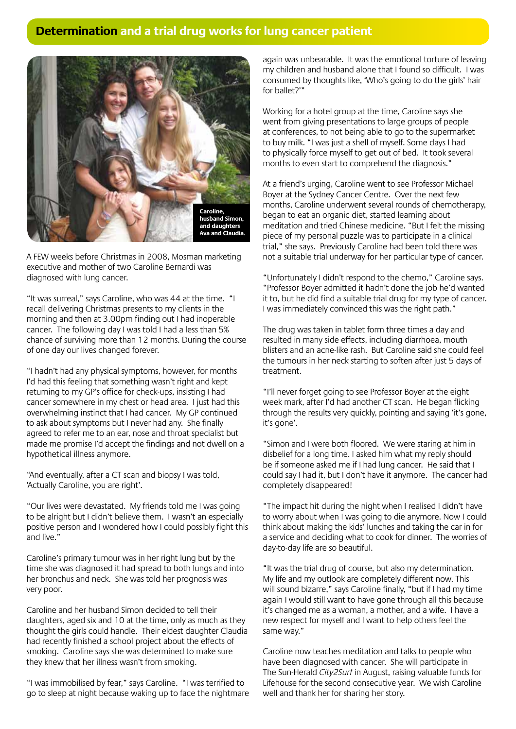## **Determination and a trial drug works for lung cancer patient**



A few weeks before Christmas in 2008, Mosman marketing executive and mother of two Caroline Bernardi was diagnosed with lung cancer.

"It was surreal," says Caroline, who was 44 at the time. "I recall delivering Christmas presents to my clients in the morning and then at 3.00pm finding out I had inoperable cancer. The following day I was told I had a less than 5% chance of surviving more than 12 months. During the course of one day our lives changed forever.

"I hadn't had any physical symptoms, however, for months I'd had this feeling that something wasn't right and kept returning to my GP's office for check-ups, insisting I had cancer somewhere in my chest or head area. I just had this overwhelming instinct that I had cancer. My GP continued to ask about symptoms but I never had any. She finally agreed to refer me to an ear, nose and throat specialist but made me promise I'd accept the findings and not dwell on a hypothetical illness anymore.

"And eventually, after a CT scan and biopsy I was told, 'Actually Caroline, you are right'.

"Our lives were devastated. My friends told me I was going to be alright but I didn't believe them. I wasn't an especially positive person and I wondered how I could possibly fight this and live."

Caroline's primary tumour was in her right lung but by the time she was diagnosed it had spread to both lungs and into her bronchus and neck. She was told her prognosis was very poor.

Caroline and her husband Simon decided to tell their daughters, aged six and 10 at the time, only as much as they thought the girls could handle. Their eldest daughter Claudia had recently finished a school project about the effects of smoking. Caroline says she was determined to make sure they knew that her illness wasn't from smoking.

"I was immobilised by fear," says Caroline. "I was terrified to go to sleep at night because waking up to face the nightmare again was unbearable. It was the emotional torture of leaving my children and husband alone that I found so difficult. I was consumed by thoughts like, 'Who's going to do the girls' hair for ballet?'"

Working for a hotel group at the time, Caroline says she went from giving presentations to large groups of people at conferences, to not being able to go to the supermarket to buy milk. "I was just a shell of myself. Some days I had to physically force myself to get out of bed. It took several months to even start to comprehend the diagnosis."

At a friend's urging, Caroline went to see Professor Michael Boyer at the Sydney Cancer Centre. Over the next few months, Caroline underwent several rounds of chemotherapy, began to eat an organic diet, started learning about meditation and tried Chinese medicine. "But I felt the missing piece of my personal puzzle was to participate in a clinical trial," she says. Previously Caroline had been told there was not a suitable trial underway for her particular type of cancer.

"Unfortunately I didn't respond to the chemo," Caroline says. "Professor Boyer admitted it hadn't done the job he'd wanted it to, but he did find a suitable trial drug for my type of cancer. I was immediately convinced this was the right path."

The drug was taken in tablet form three times a day and resulted in many side effects, including diarrhoea, mouth blisters and an acne-like rash. But Caroline said she could feel the tumours in her neck starting to soften after just 5 days of treatment.

"I'll never forget going to see Professor Boyer at the eight week mark, after I'd had another CT scan. He began flicking through the results very quickly, pointing and saying 'it's gone, it's gone'.

"Simon and I were both floored. We were staring at him in disbelief for a long time. I asked him what my reply should be if someone asked me if I had lung cancer. He said that I could say I had it, but I don't have it anymore. The cancer had completely disappeared!

"The impact hit during the night when I realised I didn't have to worry about when I was going to die anymore. Now I could think about making the kids' lunches and taking the car in for a service and deciding what to cook for dinner. The worries of day-to-day life are so beautiful.

"It was the trial drug of course, but also my determination. My life and my outlook are completely different now. This will sound bizarre," says Caroline finally, "but if I had my time again I would still want to have gone through all this because it's changed me as a woman, a mother, and a wife. I have a new respect for myself and I want to help others feel the same way."

Caroline now teaches meditation and talks to people who have been diagnosed with cancer. She will participate in The Sun-Herald City2Surf in August, raising valuable funds for Lifehouse for the second consecutive year. We wish Caroline well and thank her for sharing her story.